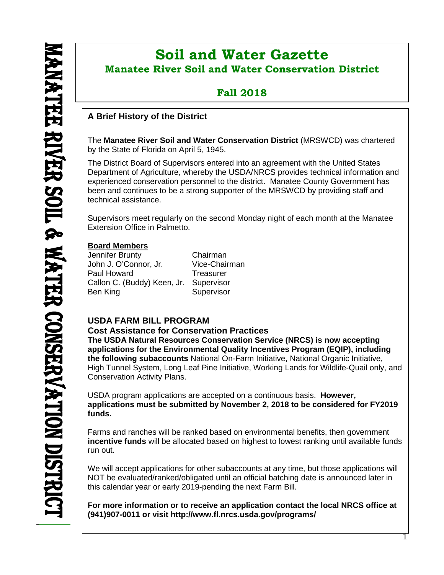$\overline{a}$ 

# **Soil and Water Gazette Manatee River Soil and Water Conservation District**

## **Fall 2018**

## **A Brief History of the District**

The **Manatee River Soil and Water Conservation District** (MRSWCD) was chartered by the State of Florida on April 5, 1945.

The District Board of Supervisors entered into an agreement with the United States Department of Agriculture, whereby the USDA/NRCS provides technical information and experienced conservation personnel to the district. Manatee County Government has been and continues to be a strong supporter of the MRSWCD by providing staff and technical assistance.

Supervisors meet regularly on the second Monday night of each month at the Manatee Extension Office in Palmetto.

#### **Board Members**

Jennifer Brunty Chairman John J. O'Connor, Jr. Paul Howard Treasurer Callon C. (Buddy) Keen, Jr. Supervisor Ben King Supervisor

## **USDA FARM BILL PROGRAM**

#### **Cost Assistance for Conservation Practices**

**The USDA Natural Resources Conservation Service (NRCS) is now accepting applications for the Environmental Quality Incentives Program (EQIP), including the following subaccounts** National On-Farm Initiative, National Organic Initiative, High Tunnel System, Long Leaf Pine Initiative, Working Lands for Wildlife-Quail only, and Conservation Activity Plans.

USDA program applications are accepted on a continuous basis. **However, applications must be submitted by November 2, 2018 to be considered for FY2019 funds.**

Farms and ranches will be ranked based on environmental benefits, then government **incentive funds** will be allocated based on highest to lowest ranking until available funds run out.

We will accept applications for other subaccounts at any time, but those applications will NOT be evaluated/ranked/obligated until an official batching date is announced later in this calendar year or early 2019-pending the next Farm Bill.

**For more information or to receive an application contact the local NRCS office at (941)907-0011 or visit <http://www.fl.nrcs.usda.gov/programs/>**

1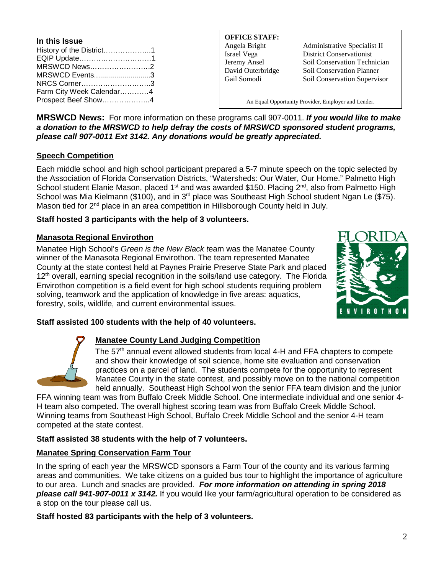| In this Issue            |  |
|--------------------------|--|
| History of the District1 |  |
| EQIP Update1             |  |
| MRSWCD News2             |  |
| MRSWCD Events3           |  |
| NRCS Corner3             |  |
| Farm City Week Calendar4 |  |
| Prospect Beef Show4      |  |

**OFFICE STAFF:**

Angela Bright Administrative Specialist II Israel Vega District Conservationist Jeremy Ansel Soil Conservation Technician David Outerbridge Soil Conservation Planner Gail Somodi Soil Conservation Supervisor

An Equal Opportunity Provider, Employer and Lender.

**MRSWCD News:** For more information on these programs call 907-0011. *If you would like to make a donation to the MRSWCD to help defray the costs of MRSWCD sponsored student programs, please call 907-0011 Ext 3142. Any donations would be greatly appreciated.*

#### **Speech Competition**

Each middle school and high school participant prepared a 5-7 minute speech on the topic selected by the Association of Florida Conservation Districts, "Watersheds: Our Water, Our Home." Palmetto High School student Elanie Mason, placed 1<sup>st</sup> and was awarded \$150. Placing 2<sup>nd</sup>, also from Palmetto High School was Mia Kielmann (\$100), and in 3<sup>rd</sup> place was Southeast High School student Ngan Le (\$75). Mason tied for  $2<sup>nd</sup>$  place in an area competition in Hillsborough County held in July.

#### **Staff hosted 3 participants with the help of 3 volunteers.**

#### **Manasota Regional Envirothon**

Manatee High School's *Green is the New Black t*eam was the Manatee County winner of the Manasota Regional Envirothon. The team represented Manatee County at the state contest held at Paynes Prairie Preserve State Park and placed 12<sup>th</sup> overall, earning special recognition in the soils/land use category. The Florida Envirothon competition is a field event for high school students requiring problem solving, teamwork and the application of knowledge in five areas: aquatics, forestry, soils, wildlife, and current environmental issues.



#### **Staff assisted 100 students with the help of 40 volunteers.**



#### **Manatee County Land Judging Competition**

The 57<sup>th</sup> annual event allowed students from local 4-H and FFA chapters to compete and show their knowledge of soil science, home site evaluation and conservation practices on a parcel of land. The students compete for the opportunity to represent Manatee County in the state contest, and possibly move on to the national competition held annually. Southeast High School won the senior FFA team division and the junior

FFA winning team was from Buffalo Creek Middle School. One intermediate individual and one senior 4- H team also competed. The overall highest scoring team was from Buffalo Creek Middle School. Winning teams from Southeast High School, Buffalo Creek Middle School and the senior 4-H team competed at the state contest.

#### **Staff assisted 38 students with the help of 7 volunteers.**

#### **Manatee Spring Conservation Farm Tour**

In the spring of each year the MRSWCD sponsors a Farm Tour of the county and its various farming areas and communities. We take citizens on a guided bus tour to highlight the importance of agriculture to our area. Lunch and snacks are provided. *For more information on attending in spring 2018 please call 941-907-0011 x 3142.* If you would like your farm/agricultural operation to be considered as a stop on the tour please call us.

**Staff hosted 83 participants with the help of 3 volunteers.**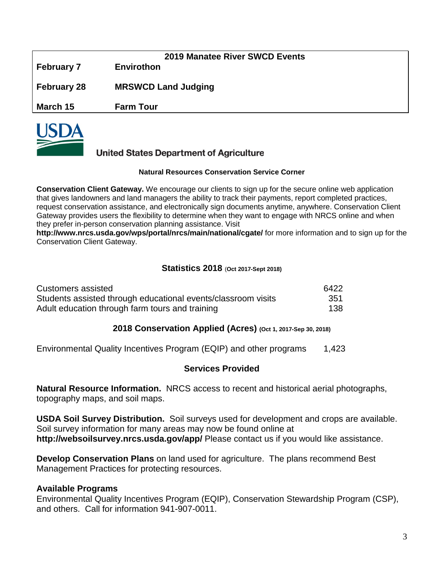| <b>February 7</b> | 2019 Manatee River SWCD Events<br><b>Envirothon</b> |
|-------------------|-----------------------------------------------------|
| February 28       | <b>MRSWCD Land Judging</b>                          |
| March 15          | <b>Farm Tour</b>                                    |



### **United States Department of Agriculture**

#### **Natural Resources Conservation Service Corner**

**Conservation Client Gateway.** We encourage our clients to sign up for the secure online web application that gives landowners and land managers the ability to track their payments, report completed practices, request conservation assistance, and electronically sign documents anytime, anywhere. Conservation Client Gateway provides users the flexibility to determine when they want to engage with NRCS online and when they prefer in-person conservation planning assistance. Visit

**<http://www.nrcs.usda.gov/wps/portal/nrcs/main/national/cgate/>** for more information and to sign up for the Conservation Client Gateway.

#### **Statistics 2018** (**Oct 2017-Sept 2018)**

| Customers assisted                                            | 6422 |
|---------------------------------------------------------------|------|
| Students assisted through educational events/classroom visits | 351  |
| Adult education through farm tours and training               | 138  |

#### **2018 Conservation Applied (Acres) (Oct 1, 2017-Sep 30, 2018)**

Environmental Quality Incentives Program (EQIP) and other programs 1,423

#### **Services Provided**

**Natural Resource Information.** NRCS access to recent and historical aerial photographs, topography maps, and soil maps.

**USDA Soil Survey Distribution.** Soil surveys used for development and crops are available. Soil survey information for many areas may now be found online at **<http://websoilsurvey.nrcs.usda.gov/app/>** Please contact us if you would like assistance.

**Develop Conservation Plans** on land used for agriculture. The plans recommend Best Management Practices for protecting resources.

#### **Available Programs**

Environmental Quality Incentives Program (EQIP), Conservation Stewardship Program (CSP), and others. Call for information 941-907-0011.